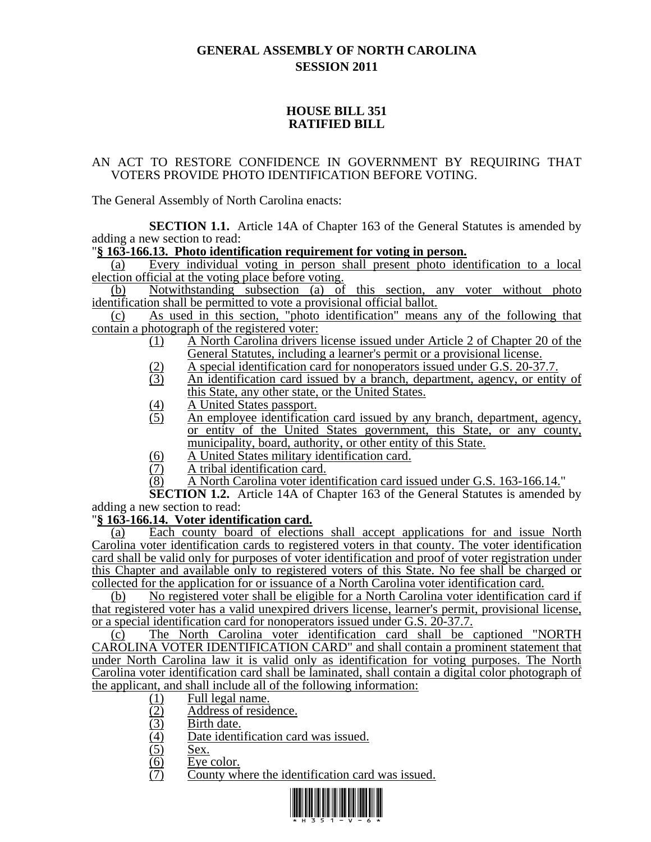# **GENERAL ASSEMBLY OF NORTH CAROLINA SESSION 2011**

## **HOUSE BILL 351 RATIFIED BILL**

#### AN ACT TO RESTORE CONFIDENCE IN GOVERNMENT BY REQUIRING THAT VOTERS PROVIDE PHOTO IDENTIFICATION BEFORE VOTING.

The General Assembly of North Carolina enacts:

**SECTION 1.1.** Article 14A of Chapter 163 of the General Statutes is amended by adding a new section to read:

## "**§ 163-166.13. Photo identification requirement for voting in person.**

(a) Every individual voting in person shall present photo identification to a local election official at the voting place before voting.

(b) Notwithstanding subsection (a) of this section, any voter without photo identification shall be permitted to vote a provisional official ballot.

(c) As used in this section, "photo identification" means any of the following that contain a photograph of the registered voter:

- (1) A North Carolina drivers license issued under Article 2 of Chapter 20 of the General Statutes, including a learner's permit or a provisional license.
- (2) A special identification card for nonoperators issued under G.S. 20-37.7.
- (3) An identification card issued by a branch, department, agency, or entity of this State, any other state, or the United States.
- (4) A United States passport.
- (5) An employee identification card issued by any branch, department, agency, or entity of the United States government, this State, or any county, municipality, board, authority, or other entity of this State.
- $\overline{(6)}$  A United States military identification card.<br>  $\overline{(7)}$  A tribal identification card.
- A tribal identification card.
- (8) A North Carolina voter identification card issued under G.S. 163-166.14."

**SECTION 1.2.** Article 14A of Chapter 163 of the General Statutes is amended by adding a new section to read:

## "**§ 163-166.14. Voter identification card.**

(a) Each county board of elections shall accept applications for and issue North Carolina voter identification cards to registered voters in that county. The voter identification card shall be valid only for purposes of voter identification and proof of voter registration under this Chapter and available only to registered voters of this State. No fee shall be charged or collected for the application for or issuance of a North Carolina voter identification card.

(b) No registered voter shall be eligible for a North Carolina voter identification card if that registered voter has a valid unexpired drivers license, learner's permit, provisional license, or a special identification card for nonoperators issued under G.S. 20-37.7.

(c) The North Carolina voter identification card shall be captioned "NORTH CAROLINA VOTER IDENTIFICATION CARD" and shall contain a prominent statement that under North Carolina law it is valid only as identification for voting purposes. The North Carolina voter identification card shall be laminated, shall contain a digital color photograph of the applicant, and shall include all of the following information:

- $\frac{(1)}{(2)}$  Full legal name.<br>Address of resid
- (2) Address of residence.<br>(3) Birth date.
- 
- (3) Birth date.<br>
(4) Date identi<br>
(5) Sex.<br>
(6) Eye color.<br>
(7) County wh Date identification card was issued.
- Sex.
- Eye color.
- County where the identification card was issued.

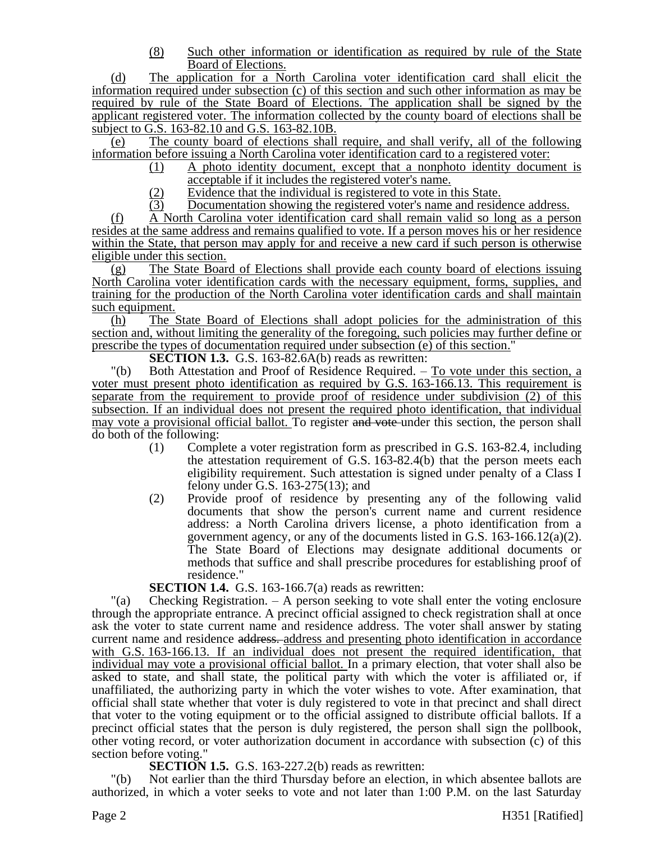(8) Such other information or identification as required by rule of the State Board of Elections.

(d) The application for a North Carolina voter identification card shall elicit the information required under subsection (c) of this section and such other information as may be required by rule of the State Board of Elections. The application shall be signed by the applicant registered voter. The information collected by the county board of elections shall be subject to G.S. 163-82.10 and G.S. 163-82.10B.

(e) The county board of elections shall require, and shall verify, all of the following information before issuing a North Carolina voter identification card to a registered voter:

- (1) A photo identity document, except that a nonphoto identity document is acceptable if it includes the registered voter's name.
- (2) Evidence that the individual is registered to vote in this State.
- (3) Documentation showing the registered voter's name and residence address.

(f) A North Carolina voter identification card shall remain valid so long as a person resides at the same address and remains qualified to vote. If a person moves his or her residence within the State, that person may apply for and receive a new card if such person is otherwise eligible under this section.

(g) The State Board of Elections shall provide each county board of elections issuing North Carolina voter identification cards with the necessary equipment, forms, supplies, and training for the production of the North Carolina voter identification cards and shall maintain such equipment.

(h) The State Board of Elections shall adopt policies for the administration of this section and, without limiting the generality of the foregoing, such policies may further define or prescribe the types of documentation required under subsection (e) of this section."

**SECTION 1.3.** G.S. 163-82.6A(b) reads as rewritten:

"(b) Both Attestation and Proof of Residence Required. – To vote under this section, a voter must present photo identification as required by G.S. 163-166.13. This requirement is separate from the requirement to provide proof of residence under subdivision (2) of this subsection. If an individual does not present the required photo identification, that individual may vote a provisional official ballot. To register and vote under this section, the person shall do both of the following:

- (1) Complete a voter registration form as prescribed in G.S. 163-82.4, including the attestation requirement of G.S. 163-82.4(b) that the person meets each eligibility requirement. Such attestation is signed under penalty of a Class I felony under G.S. 163-275(13); and
- (2) Provide proof of residence by presenting any of the following valid documents that show the person's current name and current residence address: a North Carolina drivers license, a photo identification from a government agency, or any of the documents listed in G.S. 163-166.12(a)(2). The State Board of Elections may designate additional documents or methods that suffice and shall prescribe procedures for establishing proof of residence."

**SECTION 1.4.** G.S. 163-166.7(a) reads as rewritten:

"(a) Checking Registration. – A person seeking to vote shall enter the voting enclosure through the appropriate entrance. A precinct official assigned to check registration shall at once ask the voter to state current name and residence address. The voter shall answer by stating current name and residence address. address and presenting photo identification in accordance with G.S. 163-166.13. If an individual does not present the required identification, that individual may vote a provisional official ballot. In a primary election, that voter shall also be asked to state, and shall state, the political party with which the voter is affiliated or, if unaffiliated, the authorizing party in which the voter wishes to vote. After examination, that official shall state whether that voter is duly registered to vote in that precinct and shall direct that voter to the voting equipment or to the official assigned to distribute official ballots. If a precinct official states that the person is duly registered, the person shall sign the pollbook, other voting record, or voter authorization document in accordance with subsection (c) of this section before voting."

**SECTION 1.5.** G.S. 163-227.2(b) reads as rewritten:

"(b) Not earlier than the third Thursday before an election, in which absentee ballots are authorized, in which a voter seeks to vote and not later than 1:00 P.M. on the last Saturday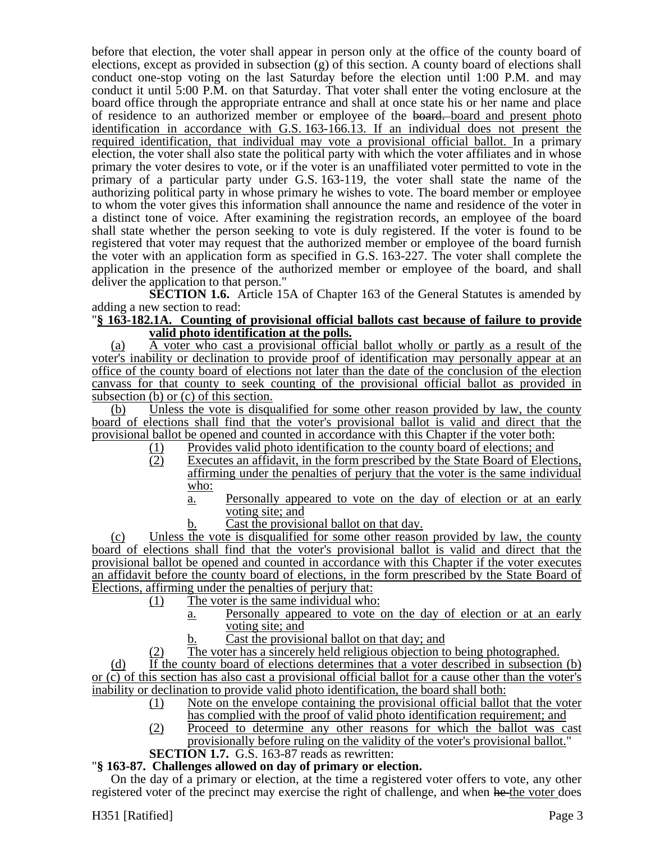before that election, the voter shall appear in person only at the office of the county board of elections, except as provided in subsection (g) of this section. A county board of elections shall conduct one-stop voting on the last Saturday before the election until 1:00 P.M. and may conduct it until 5:00 P.M. on that Saturday. That voter shall enter the voting enclosure at the board office through the appropriate entrance and shall at once state his or her name and place of residence to an authorized member or employee of the board. board and present photo identification in accordance with G.S. 163-166.13. If an individual does not present the required identification, that individual may vote a provisional official ballot. In a primary election, the voter shall also state the political party with which the voter affiliates and in whose primary the voter desires to vote, or if the voter is an unaffiliated voter permitted to vote in the primary of a particular party under G.S. 163-119, the voter shall state the name of the authorizing political party in whose primary he wishes to vote. The board member or employee to whom the voter gives this information shall announce the name and residence of the voter in a distinct tone of voice. After examining the registration records, an employee of the board shall state whether the person seeking to vote is duly registered. If the voter is found to be registered that voter may request that the authorized member or employee of the board furnish the voter with an application form as specified in G.S. 163-227. The voter shall complete the application in the presence of the authorized member or employee of the board, and shall deliver the application to that person."

**SECTION 1.6.** Article 15A of Chapter 163 of the General Statutes is amended by adding a new section to read:

#### "**§ 163-182.1A. Counting of provisional official ballots cast because of failure to provide valid photo identification at the polls.**

(a) A voter who cast a provisional official ballot wholly or partly as a result of the voter's inability or declination to provide proof of identification may personally appear at an office of the county board of elections not later than the date of the conclusion of the election canvass for that county to seek counting of the provisional official ballot as provided in subsection (b) or (c) of this section.

(b) Unless the vote is disqualified for some other reason provided by law, the county board of elections shall find that the voter's provisional ballot is valid and direct that the provisional ballot be opened and counted in accordance with this Chapter if the voter both:

- (1) Provides valid photo identification to the county board of elections; and
- (2) Executes an affidavit, in the form prescribed by the State Board of Elections, affirming under the penalties of perjury that the voter is the same individual who:
	- a. Personally appeared to vote on the day of election or at an early voting site; and
	- b. Cast the provisional ballot on that day.

(c) Unless the vote is disqualified for some other reason provided by law, the county board of elections shall find that the voter's provisional ballot is valid and direct that the provisional ballot be opened and counted in accordance with this Chapter if the voter executes an affidavit before the county board of elections, in the form prescribed by the State Board of Elections, affirming under the penalties of perjury that:

- (1) The voter is the same individual who:
	- a. Personally appeared to vote on the day of election or at an early voting site; and
	- b. Cast the provisional ballot on that day; and
- (2) The voter has a sincerely held religious objection to being photographed.

(d) If the county board of elections determines that a voter described in subsection (b) or (c) of this section has also cast a provisional official ballot for a cause other than the voter's inability or declination to provide valid photo identification, the board shall both:

- (1) Note on the envelope containing the provisional official ballot that the voter has complied with the proof of valid photo identification requirement; and
- (2) Proceed to determine any other reasons for which the ballot was cast provisionally before ruling on the validity of the voter's provisional ballot."

#### **SECTION 1.7.** G.S. 163-87 reads as rewritten:

## "**§ 163-87. Challenges allowed on day of primary or election.**

On the day of a primary or election, at the time a registered voter offers to vote, any other registered voter of the precinct may exercise the right of challenge, and when he the voter does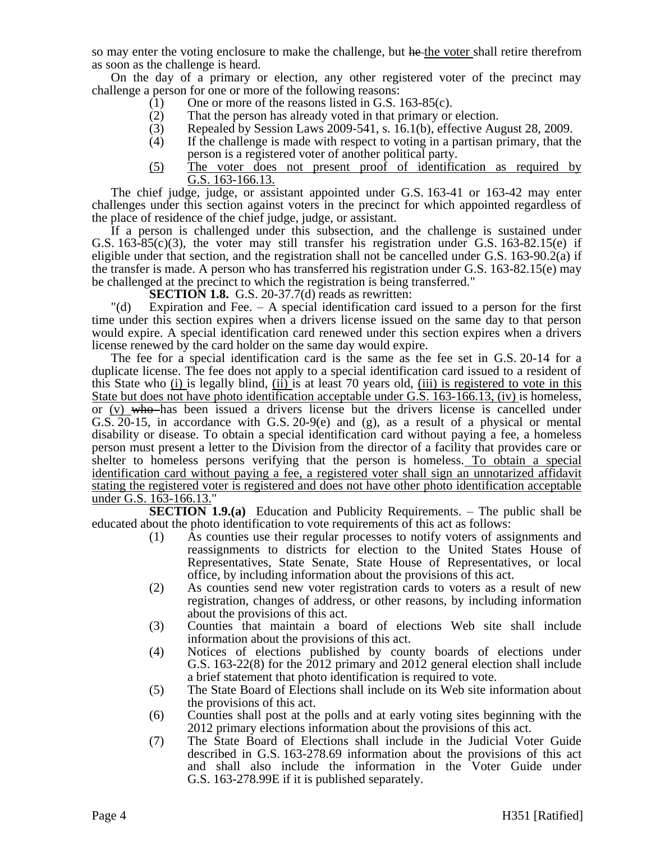so may enter the voting enclosure to make the challenge, but he the voter shall retire therefrom as soon as the challenge is heard.

On the day of a primary or election, any other registered voter of the precinct may challenge a person for one or more of the following reasons:

- (1) One or more of the reasons listed in G.S. 163-85(c).
- (2) That the person has already voted in that primary or election.<br>
(3) Repealed by Session Laws 2009-541, s. 16.1(b), effective Au
- Repealed by Session Laws 2009-541, s. 16.1(b), effective August 28, 2009.
- (4) If the challenge is made with respect to voting in a partisan primary, that the person is a registered voter of another political party.
- (5) The voter does not present proof of identification as required by G.S. 163-166.13.

The chief judge, judge, or assistant appointed under G.S. 163-41 or 163-42 may enter challenges under this section against voters in the precinct for which appointed regardless of the place of residence of the chief judge, judge, or assistant.

If a person is challenged under this subsection, and the challenge is sustained under G.S.  $163-85(c)(3)$ , the voter may still transfer his registration under G.S.  $163-82.15(e)$  if eligible under that section, and the registration shall not be cancelled under G.S. 163-90.2(a) if the transfer is made. A person who has transferred his registration under G.S. 163-82.15(e) may be challenged at the precinct to which the registration is being transferred."

**SECTION 1.8.** G.S. 20-37.7(d) reads as rewritten:

"(d) Expiration and Fee. – A special identification card issued to a person for the first time under this section expires when a drivers license issued on the same day to that person would expire. A special identification card renewed under this section expires when a drivers license renewed by the card holder on the same day would expire.

The fee for a special identification card is the same as the fee set in G.S. 20-14 for a duplicate license. The fee does not apply to a special identification card issued to a resident of this State who (i) is legally blind, (ii) is at least 70 years old, (iii) is registered to vote in this State but does not have photo identification acceptable under G.S. 163-166.13, (iv) is homeless, or (v) who has been issued a drivers license but the drivers license is cancelled under G.S. 20-15, in accordance with G.S. 20-9(e) and (g), as a result of a physical or mental disability or disease. To obtain a special identification card without paying a fee, a homeless person must present a letter to the Division from the director of a facility that provides care or shelter to homeless persons verifying that the person is homeless. To obtain a special identification card without paying a fee, a registered voter shall sign an unnotarized affidavit stating the registered voter is registered and does not have other photo identification acceptable under G.S. 163-166.13."

**SECTION 1.9.(a)** Education and Publicity Requirements. – The public shall be educated about the photo identification to vote requirements of this act as follows:

- (1) As counties use their regular processes to notify voters of assignments and reassignments to districts for election to the United States House of Representatives, State Senate, State House of Representatives, or local office, by including information about the provisions of this act.
- (2) As counties send new voter registration cards to voters as a result of new registration, changes of address, or other reasons, by including information about the provisions of this act.
- (3) Counties that maintain a board of elections Web site shall include information about the provisions of this act.
- (4) Notices of elections published by county boards of elections under G.S. 163-22(8) for the 2012 primary and 2012 general election shall include a brief statement that photo identification is required to vote.
- (5) The State Board of Elections shall include on its Web site information about the provisions of this act.
- (6) Counties shall post at the polls and at early voting sites beginning with the 2012 primary elections information about the provisions of this act.
- (7) The State Board of Elections shall include in the Judicial Voter Guide described in G.S. 163-278.69 information about the provisions of this act and shall also include the information in the Voter Guide under G.S. 163-278.99E if it is published separately.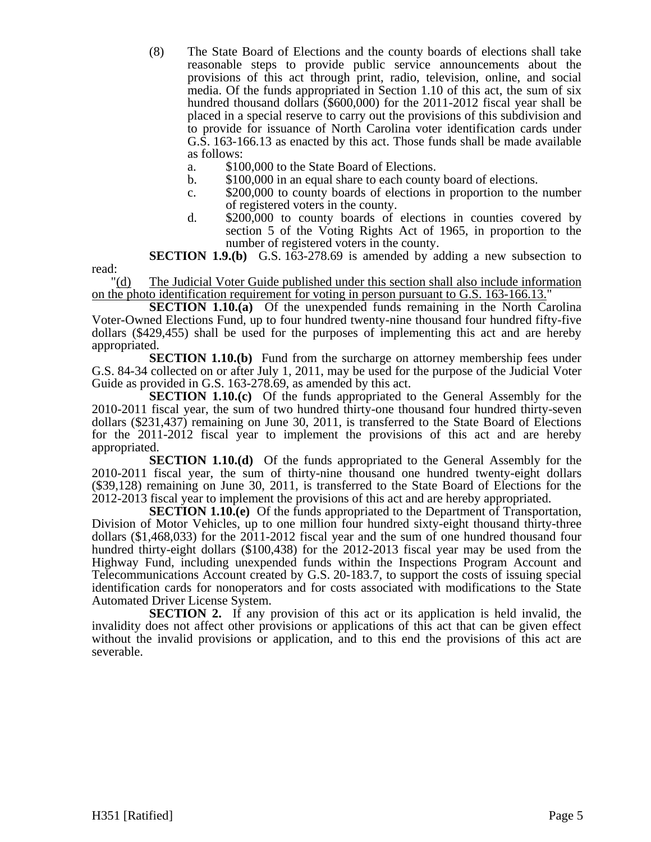- (8) The State Board of Elections and the county boards of elections shall take reasonable steps to provide public service announcements about the provisions of this act through print, radio, television, online, and social media. Of the funds appropriated in Section 1.10 of this act, the sum of six hundred thousand dollars (\$600,000) for the 2011-2012 fiscal year shall be placed in a special reserve to carry out the provisions of this subdivision and to provide for issuance of North Carolina voter identification cards under G.S. 163-166.13 as enacted by this act. Those funds shall be made available as follows:
	- a. \$100,000 to the State Board of Elections.
	- b. \$100,000 in an equal share to each county board of elections.
	- c. \$200,000 to county boards of elections in proportion to the number of registered voters in the county.
	- d. \$200,000 to county boards of elections in counties covered by section 5 of the Voting Rights Act of 1965, in proportion to the number of registered voters in the county.

**SECTION 1.9.(b)** G.S. 163-278.69 is amended by adding a new subsection to read:

"(d) The Judicial Voter Guide published under this section shall also include information on the photo identification requirement for voting in person pursuant to G.S. 163-166.13."

**SECTION 1.10.(a)** Of the unexpended funds remaining in the North Carolina Voter-Owned Elections Fund, up to four hundred twenty-nine thousand four hundred fifty-five dollars (\$429,455) shall be used for the purposes of implementing this act and are hereby appropriated.

**SECTION 1.10.(b)** Fund from the surcharge on attorney membership fees under G.S. 84-34 collected on or after July 1, 2011, may be used for the purpose of the Judicial Voter Guide as provided in G.S. 163-278.69, as amended by this act.

**SECTION 1.10.(c)** Of the funds appropriated to the General Assembly for the 2010-2011 fiscal year, the sum of two hundred thirty-one thousand four hundred thirty-seven dollars (\$231,437) remaining on June 30, 2011, is transferred to the State Board of Elections for the 2011-2012 fiscal year to implement the provisions of this act and are hereby appropriated.

**SECTION 1.10.(d)** Of the funds appropriated to the General Assembly for the 2010-2011 fiscal year, the sum of thirty-nine thousand one hundred twenty-eight dollars (\$39,128) remaining on June 30, 2011, is transferred to the State Board of Elections for the 2012-2013 fiscal year to implement the provisions of this act and are hereby appropriated.

**SECTION 1.10.(e)** Of the funds appropriated to the Department of Transportation, Division of Motor Vehicles, up to one million four hundred sixty-eight thousand thirty-three dollars (\$1,468,033) for the 2011-2012 fiscal year and the sum of one hundred thousand four hundred thirty-eight dollars (\$100,438) for the 2012-2013 fiscal year may be used from the Highway Fund, including unexpended funds within the Inspections Program Account and Telecommunications Account created by G.S. 20-183.7, to support the costs of issuing special identification cards for nonoperators and for costs associated with modifications to the State Automated Driver License System.

**SECTION 2.** If any provision of this act or its application is held invalid, the invalidity does not affect other provisions or applications of this act that can be given effect without the invalid provisions or application, and to this end the provisions of this act are severable.